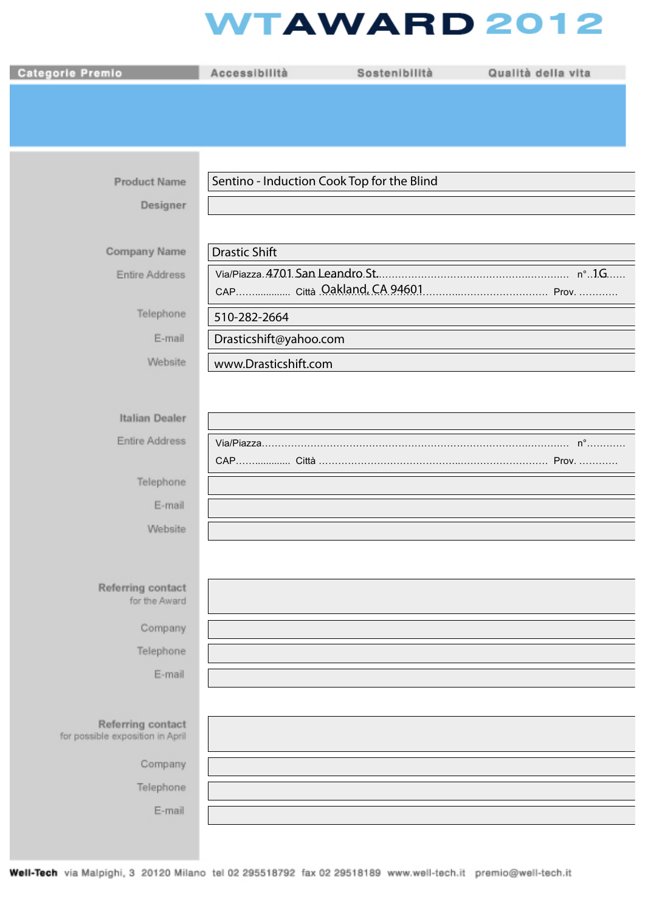## **WTAWARD 2012**

| <b>Categorie Premio</b>                               | Accessibilità          | Sostenibilità                              | Qualità della vita |
|-------------------------------------------------------|------------------------|--------------------------------------------|--------------------|
|                                                       |                        |                                            |                    |
|                                                       |                        |                                            |                    |
|                                                       |                        |                                            |                    |
| <b>Product Name</b>                                   |                        | Sentino - Induction Cook Top for the Blind |                    |
|                                                       |                        |                                            |                    |
| Designer                                              |                        |                                            |                    |
| Company Name                                          | <b>Drastic Shift</b>   |                                            |                    |
| Entire Address                                        |                        |                                            |                    |
|                                                       |                        |                                            |                    |
| Telephone                                             | 510-282-2664           |                                            |                    |
| E-mail                                                | Drasticshift@yahoo.com |                                            |                    |
| Website                                               | www.Drasticshift.com   |                                            |                    |
|                                                       |                        |                                            |                    |
| Italian Dealer                                        |                        |                                            |                    |
| <b>Entire Address</b>                                 |                        |                                            |                    |
|                                                       |                        |                                            |                    |
| Telephone                                             |                        |                                            |                    |
| E-mail                                                |                        |                                            |                    |
| Website                                               |                        |                                            |                    |
|                                                       |                        |                                            |                    |
| Referring contact                                     |                        |                                            |                    |
| for the Award                                         |                        |                                            |                    |
| Company                                               |                        |                                            |                    |
| Telephone                                             |                        |                                            |                    |
| E-mail                                                |                        |                                            |                    |
|                                                       |                        |                                            |                    |
| Referring contact<br>for possible exposition in April |                        |                                            |                    |
| Company                                               |                        |                                            |                    |
| Telephone                                             |                        |                                            |                    |
| E-mail                                                |                        |                                            |                    |
|                                                       |                        |                                            |                    |